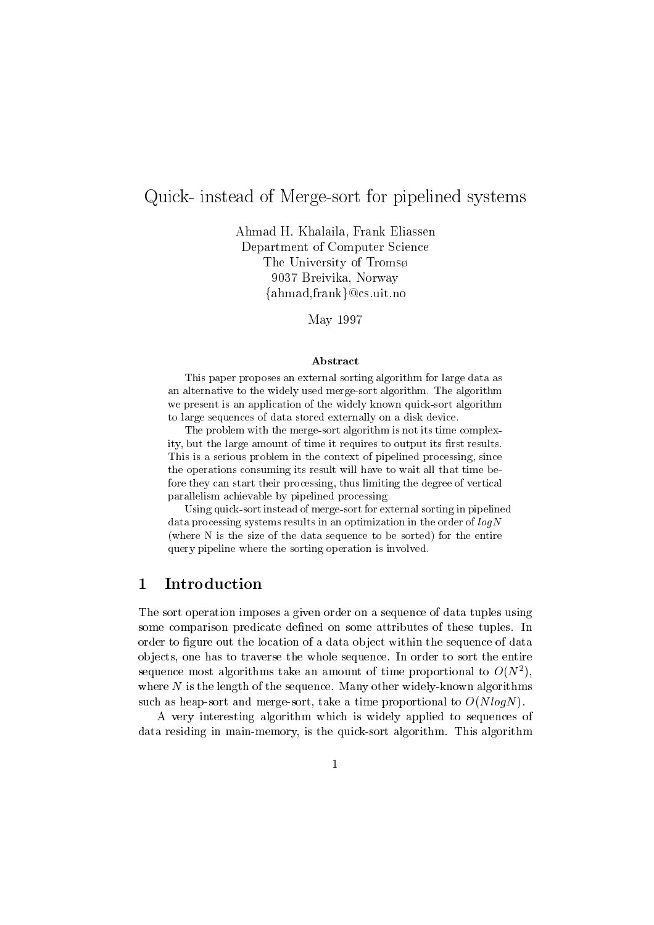# quick- instead of Merge-Allen instead systems in the pipeline system in the system of the pipeline of the system of the system of the system of the system of the system of the system of the system of the system of the syst

Ahmad H- Khalaila Frank Eliassen Department of Computer Science The University of Troms 9037 Breivika, Norway  $\{\mathrm{ahmad}, \mathrm{frank}\} @ \mathrm{cs}.\mathrm{uit}.\mathrm{no}$ 

 $\blacksquare$  .  $\blacksquare$  .  $\blacksquare$  .  $\blacksquare$  .  $\blacksquare$  .  $\blacksquare$  .  $\blacksquare$  .  $\blacksquare$  .  $\blacksquare$  .  $\blacksquare$  .  $\blacksquare$  .  $\blacksquare$  .  $\blacksquare$  .  $\blacksquare$  .  $\blacksquare$  .  $\blacksquare$  .  $\blacksquare$  .  $\blacksquare$  .  $\blacksquare$  .  $\blacksquare$  .  $\blacksquare$  .  $\blacksquare$  .  $\blacksquare$  .  $\blacksquare$  .  $\blacksquare$ 

### Abstract

This paper proposes an external sorting algorithm for large data asan alternative to the widely used merge-sort algorithm The algorithm we present is an application of the widely known quick-sort algorithmto large sequences of data stored externally on a disk device

The problem with the merge-sort algorithm is not its time complexity, but the large amount of time it requires to output its first results. This is a serious problem in the context of pipelined processing, since the operations consuming its result will have to wait all that time before they can start their processing, thus limiting the degree of vertical parallelism achievable by pipelined processing

Using quick-sort instead of merge-sort for external sorting in pipelined $a_{\rm{d}}$  processing systems results in an optimization in the order or  $u$ ogiv (where  $N$  is the size of the data sequence to be sorted) for the entire query pipeline where the sorting operation is involved

## Introduction

The sort operation imposes a given order on a sequence of data tuples using some comparison predicate de-ned on some attributes of these tuples In order to -gure out the location of a data ob ject within the sequence of data ob jects one has to traverse the whole sequence In order to sort the entire sequence most algorithms take an amount of time proportional to  $O(N^{\frac{1}{\epsilon}})$ , where  $N$  is the length of the sequence. Many other widely-known algorithms such as heap-sort and merge-sort, take a time proportional to  $O(N \log N)$ .

A very interesting algorithm which is widely applied to sequences of data residing in main-memory, is the quick-sort algorithm. This algorithm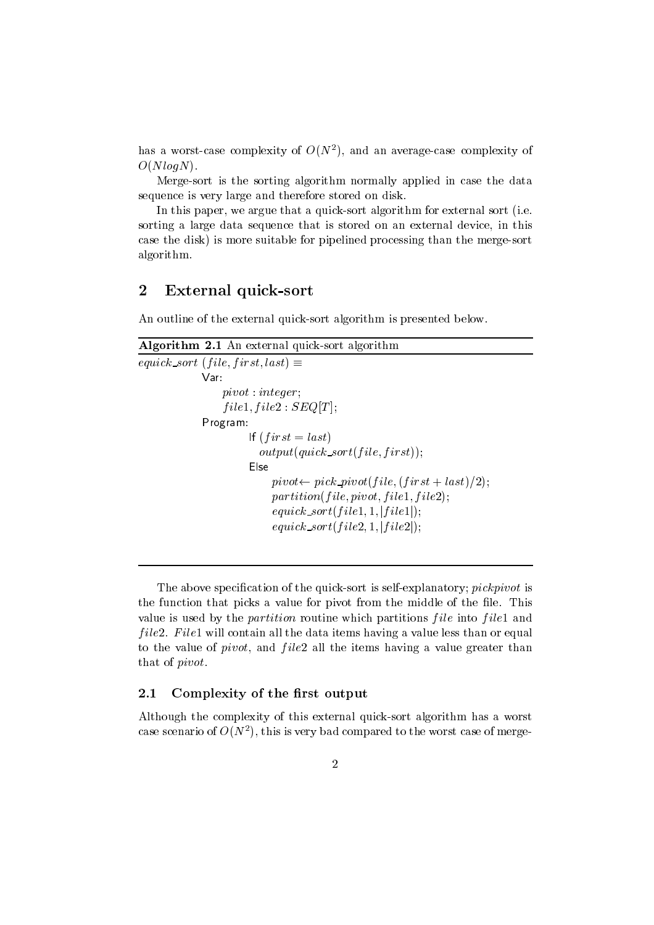nas a worst-case complexity of  $O(N^+)$ , and an average-case complexity of  $\hspace{0.1mm}$  $O(NlogN)$ .

Merge-sort is the sorting algorithm normally applied in case the data sequence is very large and therefore stored on disk

In this paper, we argue that a quick-sort algorithm for external sort (i.e. sorting a large data sequence that is stored on an external device, in this case the disk) is more suitable for pipelined processing than the merge-sort algorithm

#### $\overline{2}$ External quick-sort

An outline of the external quick-sort algorithm is presented below.

```
Algorithm -
 An external quicksort algorithm
\cup quick sort f inc. for strateging =p. . . . . . . . . . . . . . . . .
                             \left[ \begin{array}{c} 1 & 0 & 0 & 0 \\ 0 & 0 & 1 & 1 \end{array} \right]Program	
                                      If \Box if \partial u = \iota u \partial \iota is \Boxoutputquick sortf ile-
 f irst
                                     Else\mu<sub>i</sub> vot\sim \mu<sub>i</sub> voting inc. The set \mu in set \mu 2),
                                              p_0 is the contract interval interval in the \Delta is
                                              U(u \, u \, \nu \, \nu \, \nu) = \frac{1}{2} \int_{u \, u} \left[ \frac{1}{2} \left( \frac{1}{2} \right) \left( \frac{1}{2} \right) \left( \frac{1}{2} \right) \right] duU(u) ilevel to U(u) if u \cup u, if u \cup u is u \cup u
```
The above speci-cation of the quicksort is selfexplanatory pickpivot is the function that picks a value for pivot from the middle of the -le This value is used by the *partition* routine which partitions  $file$  into  $file1$  and *file2. File1* will contain all the data items having a value less than or equal to the value of *pivot*, and  $file2$  all the items having a value greater than that of pivot

### 2.1 Complexity of the first output

Although the complexity of this external quick-sort algorithm has a worst case scenario of  $O(N^*)$ , this is very bad compared to the worst case of merge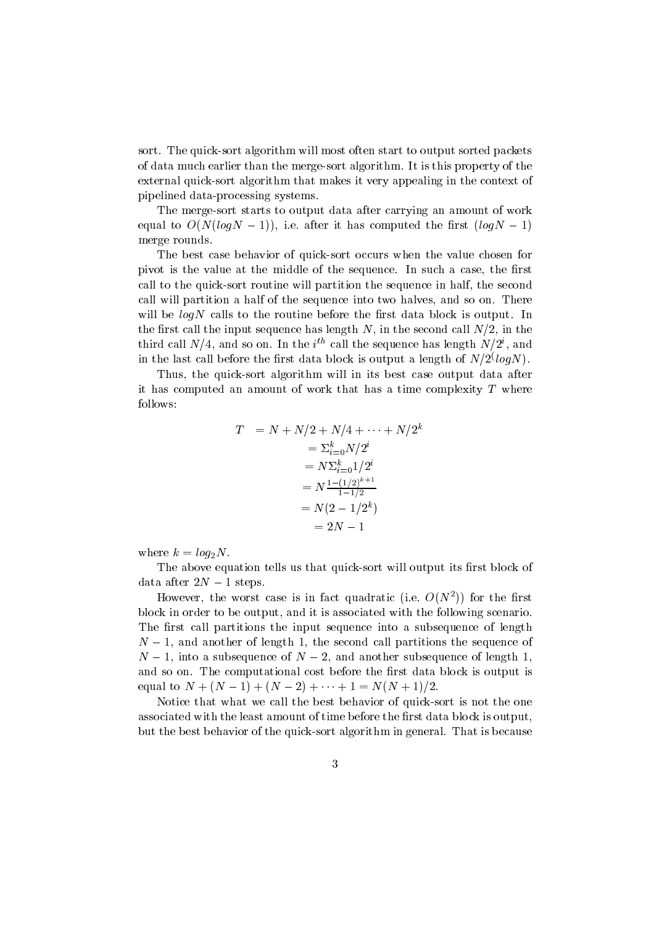sort. The quick-sort algorithm will most often start to output sorted packets of data much earlier than the merge-sort algorithm. It is this property of the external quick-sort algorithm that makes it very appealing in the context of pipelined data-processing systems.

The merge-sort starts to output data after carrying an amount of work equal to ONLogic Italy, which we have the semi-computed the - which it is a set of  $\mathcal{L}_1$ merge rounds

The best case behavior of quick-sort occurs when the value chosen for pivot is the value at the middle of the sequence In such a case the sequence  $\sim$ call to the quick-sort routine will partition the sequence in half, the second call will partition a half of the sequence into two halves, and so on. There will be longer the route that the calls the rest data block is output In the property of the state of the state of the state of the state of the state of the state of the state of the state of the state of the state of the the extent the input sequence has length N increased the second call n in the second call  $\sim$  in the second call N in the second call  $\sim$ third call  $N/4$ , and so on. In the  $i^{**}$  call the sequence has length  $N/Z$  , and In the last can before the first data block is output a length of  $N/Z \backslash log N$  ).

Thus, the quick-sort algorithm will in its best case output data after it has computed an amount of work that has a time complexity  $T$  where follows 

$$
T = N + N/2 + N/4 + \dots + N/2^{k}
$$
  
=  $\sum_{i=0}^{k} N/2^{i}$   
=  $N \sum_{i=0}^{k} 1/2^{i}$   
=  $N \frac{1 - (1/2)^{k+1}}{1 - 1/2}$   
=  $N(2 - 1/2^{k})$   
=  $2N - 1$ 

where  $k = log_2N$ .

The above equation tells us that quicksort will output its -rst block of data after  $2N - 1$  steps.

However, the worst case is in fact quadratic (i.e.  $O(N$  )) for the first block in order to be output, and it is associated with the following scenario. The -rst call partitions the input sequence into a subsequence of length N and another of length the second call partitions the sequence of N into a subsequence of <sup>N</sup> and another subsequence of length and so one the computational cost block is output is output is output is output is output is output is output i equal to  $N + (N - 1) + (N - 2) + \cdots + 1 = N(N + 1)/2$ .

Notice that what we call the best behavior of quick-sort is not the one associated with the least amount of time block is output of time before the state of the block is output of th but the best behavior of the quick-sort algorithm in general. That is because